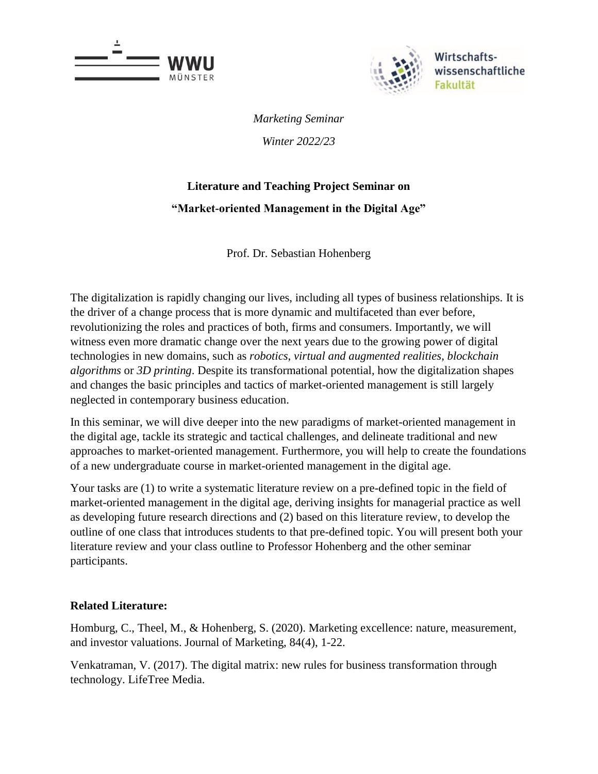



*Marketing Seminar Winter 2022/23*

# **Literature and Teaching Project Seminar on "Market-oriented Management in the Digital Age"**

Prof. Dr. Sebastian Hohenberg

The digitalization is rapidly changing our lives, including all types of business relationships. It is the driver of a change process that is more dynamic and multifaceted than ever before, revolutionizing the roles and practices of both, firms and consumers. Importantly, we will witness even more dramatic change over the next years due to the growing power of digital technologies in new domains, such as *robotics*, *virtual and augmented realities*, *blockchain algorithms* or *3D printing*. Despite its transformational potential, how the digitalization shapes and changes the basic principles and tactics of market-oriented management is still largely neglected in contemporary business education.

In this seminar, we will dive deeper into the new paradigms of market-oriented management in the digital age, tackle its strategic and tactical challenges, and delineate traditional and new approaches to market-oriented management. Furthermore, you will help to create the foundations of a new undergraduate course in market-oriented management in the digital age.

Your tasks are (1) to write a systematic literature review on a pre-defined topic in the field of market-oriented management in the digital age, deriving insights for managerial practice as well as developing future research directions and (2) based on this literature review, to develop the outline of one class that introduces students to that pre-defined topic. You will present both your literature review and your class outline to Professor Hohenberg and the other seminar participants.

### **Related Literature:**

Homburg, C., Theel, M., & Hohenberg, S. (2020). Marketing excellence: nature, measurement, and investor valuations. Journal of Marketing, 84(4), 1-22.

Venkatraman, V. (2017). The digital matrix: new rules for business transformation through technology. LifeTree Media.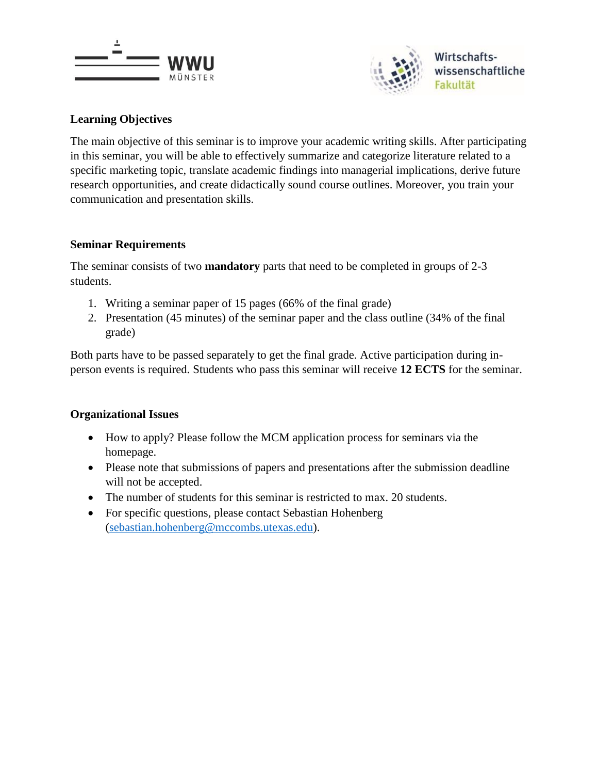



### **Learning Objectives**

The main objective of this seminar is to improve your academic writing skills. After participating in this seminar, you will be able to effectively summarize and categorize literature related to a specific marketing topic, translate academic findings into managerial implications, derive future research opportunities, and create didactically sound course outlines. Moreover, you train your communication and presentation skills.

### **Seminar Requirements**

The seminar consists of two **mandatory** parts that need to be completed in groups of 2-3 students.

- 1. Writing a seminar paper of 15 pages (66% of the final grade)
- 2. Presentation (45 minutes) of the seminar paper and the class outline (34% of the final grade)

Both parts have to be passed separately to get the final grade. Active participation during inperson events is required. Students who pass this seminar will receive **12 ECTS** for the seminar.

### **Organizational Issues**

- How to apply? Please follow the MCM application process for seminars via the homepage.
- Please note that submissions of papers and presentations after the submission deadline will not be accepted.
- The number of students for this seminar is restricted to max. 20 students.
- For specific questions, please contact Sebastian Hohenberg [\(sebastian.hohenberg@mccombs.utexas.edu\)](mailto:sebastian.hohenberg@mccombs.utexas.edu).